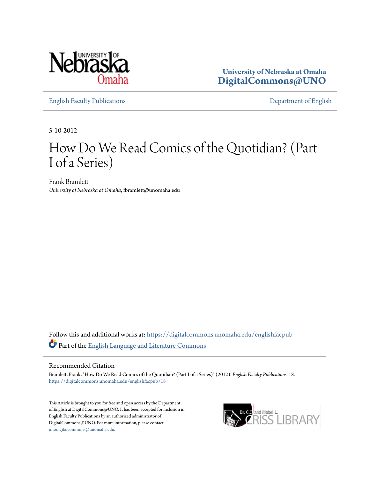

**University of Nebraska at Omaha [DigitalCommons@UNO](https://digitalcommons.unomaha.edu?utm_source=digitalcommons.unomaha.edu%2Fenglishfacpub%2F18&utm_medium=PDF&utm_campaign=PDFCoverPages)**

[English Faculty Publications](https://digitalcommons.unomaha.edu/englishfacpub?utm_source=digitalcommons.unomaha.edu%2Fenglishfacpub%2F18&utm_medium=PDF&utm_campaign=PDFCoverPages) [Department of English](https://digitalcommons.unomaha.edu/english?utm_source=digitalcommons.unomaha.edu%2Fenglishfacpub%2F18&utm_medium=PDF&utm_campaign=PDFCoverPages)

5-10-2012

## How Do We Read Comics of the Quotidian? (Part I of a Series)

Frank Bramlett *University of Nebraska at Omaha*, fbramlett@unomaha.edu

Follow this and additional works at: [https://digitalcommons.unomaha.edu/englishfacpub](https://digitalcommons.unomaha.edu/englishfacpub?utm_source=digitalcommons.unomaha.edu%2Fenglishfacpub%2F18&utm_medium=PDF&utm_campaign=PDFCoverPages) Part of the [English Language and Literature Commons](http://network.bepress.com/hgg/discipline/455?utm_source=digitalcommons.unomaha.edu%2Fenglishfacpub%2F18&utm_medium=PDF&utm_campaign=PDFCoverPages)

#### Recommended Citation

Bramlett, Frank, "How Do We Read Comics of the Quotidian? (Part I of a Series)" (2012). *English Faculty Publications*. 18. [https://digitalcommons.unomaha.edu/englishfacpub/18](https://digitalcommons.unomaha.edu/englishfacpub/18?utm_source=digitalcommons.unomaha.edu%2Fenglishfacpub%2F18&utm_medium=PDF&utm_campaign=PDFCoverPages)

This Article is brought to you for free and open access by the Department of English at DigitalCommons@UNO. It has been accepted for inclusion in English Faculty Publications by an authorized administrator of DigitalCommons@UNO. For more information, please contact [unodigitalcommons@unomaha.edu](mailto:unodigitalcommons@unomaha.edu).

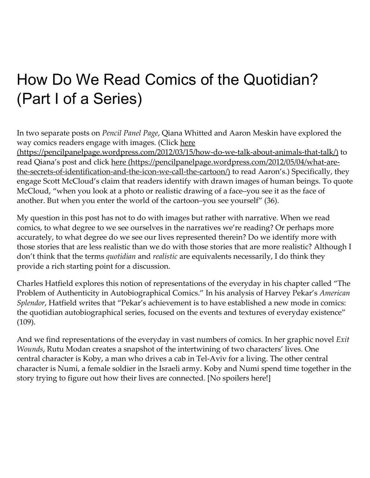# How Do We Read Comics of the Quotidian? (Part I of a Series)

In two separate posts on Pencil Panel Page, Qiana Whitted and Aaron Meskin have explored the way comics readers engage with images. (Click here

(https://pencilpanelpage.wordpress.com/2012/03/15/how-do-we-talk-about-animals-that-talk/) to read Qiana's post and click here (https://pencilpanelpage.wordpress.com/2012/05/04/what-arethe-secrets-of-identification-and-the-icon-we-call-the-cartoon/) to read Aaron's.) Specifically, they engage Scott McCloud's claim that readers identify with drawn images of human beings. To quote McCloud, "when you look at a photo or realistic drawing of a face–you see it as the face of another. But when you enter the world of the cartoon–you see yourself" (36).

My question in this post has not to do with images but rather with narrative. When we read comics, to what degree to we see ourselves in the narratives we're reading? Or perhaps more accurately, to what degree do we see our lives represented therein? Do we identify more with those stories that are less realistic than we do with those stories that are more realistic? Although I don't think that the terms *quotidian* and *realistic* are equivalents necessarily, I do think they provide a rich starting point for a discussion.

Charles Hatfield explores this notion of representations of the everyday in his chapter called "The Problem of Authenticity in Autobiographical Comics." In his analysis of Harvey Pekar's American Splendor, Hatfield writes that "Pekar's achievement is to have established a new mode in comics: the quotidian autobiographical series, focused on the events and textures of everyday existence" (109).

And we find representations of the everyday in vast numbers of comics. In her graphic novel *Exit* Wounds, Rutu Modan creates a snapshot of the intertwining of two characters' lives. One central character is Koby, a man who drives a cab in Tel‑Aviv for a living. The other central character is Numi, a female soldier in the Israeli army. Koby and Numi spend time together in the story trying to figure out how their lives are connected. [No spoilers here!]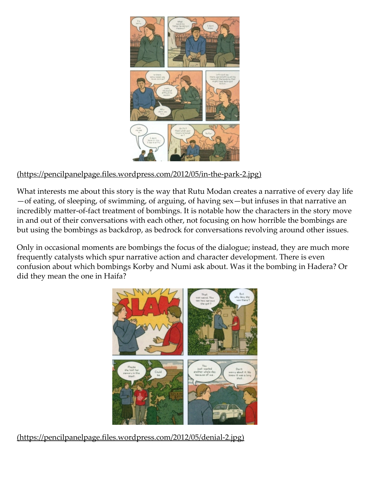

### (https://pencilpanelpage.files.wordpress.com/2012/05/in‑the‑park‑2.jpg)

What interests me about this story is the way that Rutu Modan creates a narrative of every day life —of eating, of sleeping, of swimming, of arguing, of having sex—but infuses in that narrative an incredibly matter-of-fact treatment of bombings. It is notable how the characters in the story move in and out of their conversations with each other, not focusing on how horrible the bombings are but using the bombings as backdrop, as bedrock for conversations revolving around other issues.

Only in occasional moments are bombings the focus of the dialogue; instead, they are much more frequently catalysts which spur narrative action and character development. There is even confusion about which bombings Korby and Numi ask about. Was it the bombing in Hadera? Or did they mean the one in Haifa?



(https://pencilpanelpage.files.wordpress.com/2012/05/denial-2.jpg)